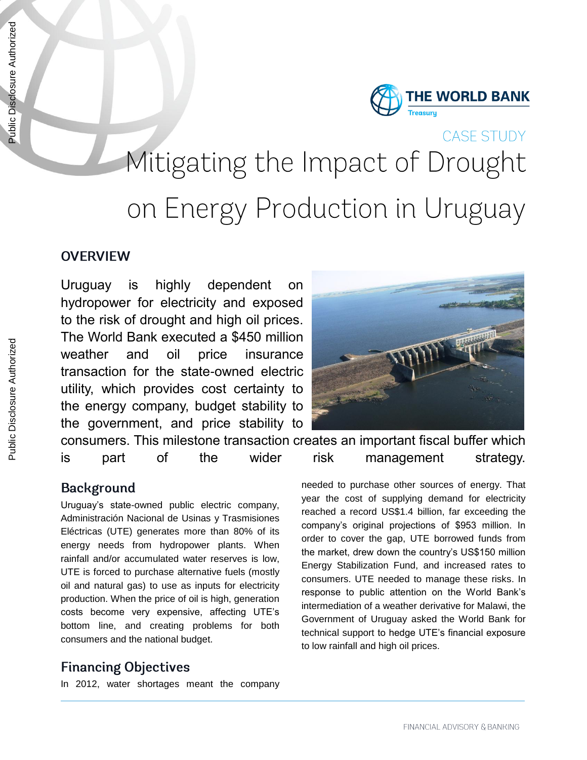

# CASE STUDY Mitigating the Impact of Drought on Energy Production in Uruguay

# **OVERVIEW**

Uruguay is highly dependent on hydropower for electricity and exposed to the risk of drought and high oil prices. The World Bank executed a \$450 million weather and oil price insurance transaction for the state-owned electric utility, which provides cost certainty to the energy company, budget stability to the government, and price stability to



consumers. This milestone transaction creates an important fiscal buffer which is part of the wider risk management strategy.

### **Background**

Uruguay's state-owned public electric company, Administración Nacional de Usinas y Trasmisiones Eléctricas (UTE) generates more than 80% of its energy needs from hydropower plants. When rainfall and/or accumulated water reserves is low, UTE is forced to purchase alternative fuels (mostly oil and natural gas) to use as inputs for electricity production. When the price of oil is high, generation costs become very expensive, affecting UTE's bottom line, and creating problems for both consumers and the national budget.

# **Financing Objectives**

In 2012, water shortages meant the company

needed to purchase other sources of energy. That year the cost of supplying demand for electricity reached a record US\$1.4 billion, far exceeding the company's original projections of \$953 million. In order to cover the gap, UTE borrowed funds from the market, drew down the country's US\$150 million Energy Stabilization Fund, and increased rates to consumers. UTE needed to manage these risks. In response to public attention on the World Bank's intermediation of a weather derivative for Malawi, the

Government of Uruguay asked the World Bank for technical support to hedge UTE's financial exposure to low rainfall and high oil prices.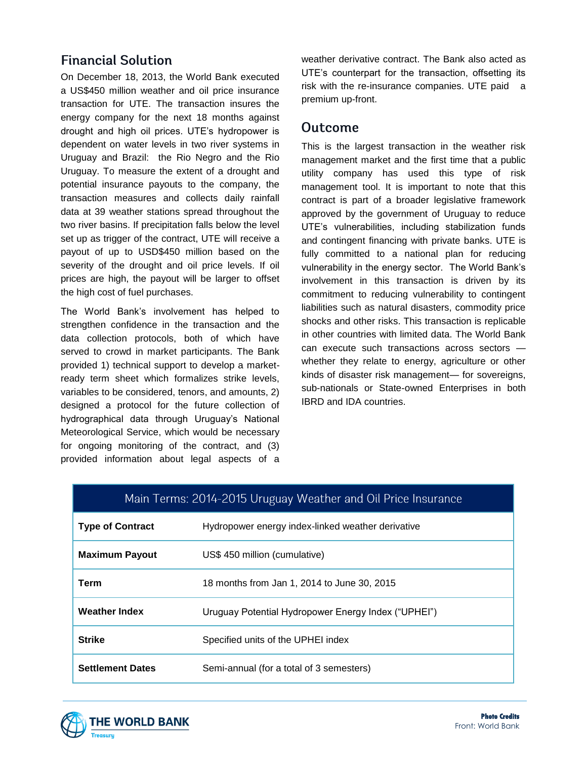# **Financial Solution**

On December 18, 2013, the World Bank executed a US\$450 million weather and oil price insurance transaction for UTE. The transaction insures the energy company for the next 18 months against drought and high oil prices. UTE's hydropower is dependent on water levels in two river systems in Uruguay and Brazil: the Rio Negro and the Rio Uruguay. To measure the extent of a drought and potential insurance payouts to the company, the transaction measures and collects daily rainfall data at 39 weather stations spread throughout the two river basins. If precipitation falls below the level set up as trigger of the contract, UTE will receive a payout of up to USD\$450 million based on the severity of the drought and oil price levels. If oil prices are high, the payout will be larger to offset the high cost of fuel purchases.

The World Bank's involvement has helped to strengthen confidence in the transaction and the data collection protocols, both of which have served to crowd in market participants. The Bank provided 1) technical support to develop a marketready term sheet which formalizes strike levels, variables to be considered, tenors, and amounts, 2) designed a protocol for the future collection of hydrographical data through Uruguay's National Meteorological Service, which would be necessary for ongoing monitoring of the contract, and (3) provided information about legal aspects of a

weather derivative contract. The Bank also acted as UTE's counterpart for the transaction, offsetting its risk with the re-insurance companies. UTE paid a premium up-front.

#### **Outcome**

This is the largest transaction in the weather risk management market and the first time that a public utility company has used this type of risk management tool. It is important to note that this contract is part of a broader legislative framework approved by the government of Uruguay to reduce UTE's vulnerabilities, including stabilization funds and contingent financing with private banks. UTE is fully committed to a national plan for reducing vulnerability in the energy sector. The World Bank's involvement in this transaction is driven by its commitment to reducing vulnerability to contingent liabilities such as natural disasters, commodity price shocks and other risks. This transaction is replicable in other countries with limited data. The World Bank can execute such transactions across sectors whether they relate to energy, agriculture or other kinds of disaster risk management— for sovereigns, sub-nationals or State-owned Enterprises in both IBRD and IDA countries.

| Main Terms: 2014-2015 Uruguay Weather and Oil Price Insurance |                                                     |
|---------------------------------------------------------------|-----------------------------------------------------|
| <b>Type of Contract</b>                                       | Hydropower energy index-linked weather derivative   |
| <b>Maximum Payout</b>                                         | US\$ 450 million (cumulative)                       |
| Term                                                          | 18 months from Jan 1, 2014 to June 30, 2015         |
| <b>Weather Index</b>                                          | Uruguay Potential Hydropower Energy Index ("UPHEI") |
| <b>Strike</b>                                                 | Specified units of the UPHEI index                  |
| <b>Settlement Dates</b>                                       | Semi-annual (for a total of 3 semesters)            |